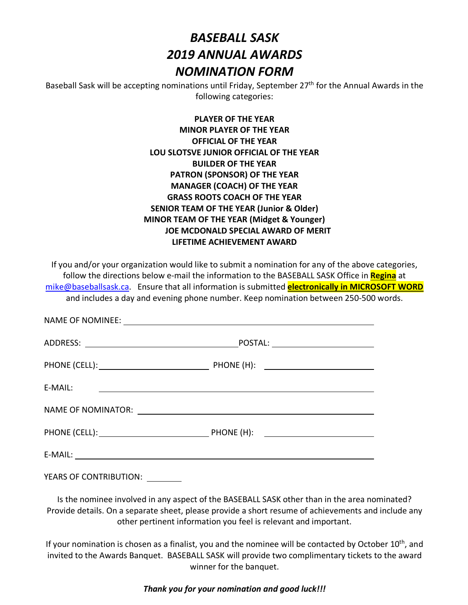# *BASEBALL SASK 2019 ANNUAL AWARDS NOMINATION FORM*

Baseball Sask will be accepting nominations until Friday, September 27<sup>th</sup> for the Annual Awards in the following categories:

| <b>PLAYER OF THE YEAR</b>                            |
|------------------------------------------------------|
| <b>MINOR PLAYER OF THE YEAR</b>                      |
| <b>OFFICIAL OF THE YEAR</b>                          |
| LOU SLOTSVE JUNIOR OFFICIAL OF THE YEAR              |
| <b>BUILDER OF THE YEAR</b>                           |
| PATRON (SPONSOR) OF THE YEAR                         |
| <b>MANAGER (COACH) OF THE YEAR</b>                   |
| <b>GRASS ROOTS COACH OF THE YEAR</b>                 |
| <b>SENIOR TEAM OF THE YEAR (Junior &amp; Older)</b>  |
| <b>MINOR TEAM OF THE YEAR (Midget &amp; Younger)</b> |
| <b>JOE MCDONALD SPECIAL AWARD OF MERIT</b>           |
| <b>LIFETIME ACHIEVEMENT AWARD</b>                    |
|                                                      |

If you and/or your organization would like to submit a nomination for any of the above categories, follow the directions below e-mail the information to the BASEBALL SASK Office in **Regina** at mike@baseballsask.ca. Ensure that all information is submitted **electronically in MICROSOFT WORD** and includes a day and evening phone number. Keep nomination between 250-500 words.

| E-MAIL:                | <u> 1980 - Jan Samuel Barbara, martin a shekara tsara 1980 - An tsara 1980 - An tsara 1980 - An tsara 1980 - An t</u> |  |
|------------------------|-----------------------------------------------------------------------------------------------------------------------|--|
|                        |                                                                                                                       |  |
|                        |                                                                                                                       |  |
|                        |                                                                                                                       |  |
| YEARS OF CONTRIBUTION: |                                                                                                                       |  |

Is the nominee involved in any aspect of the BASEBALL SASK other than in the area nominated? Provide details. On a separate sheet, please provide a short resume of achievements and include any other pertinent information you feel is relevant and important.

If your nomination is chosen as a finalist, you and the nominee will be contacted by October  $10<sup>th</sup>$ , and invited to the Awards Banquet. BASEBALL SASK will provide two complimentary tickets to the award winner for the banquet.

*Thank you for your nomination and good luck!!!*